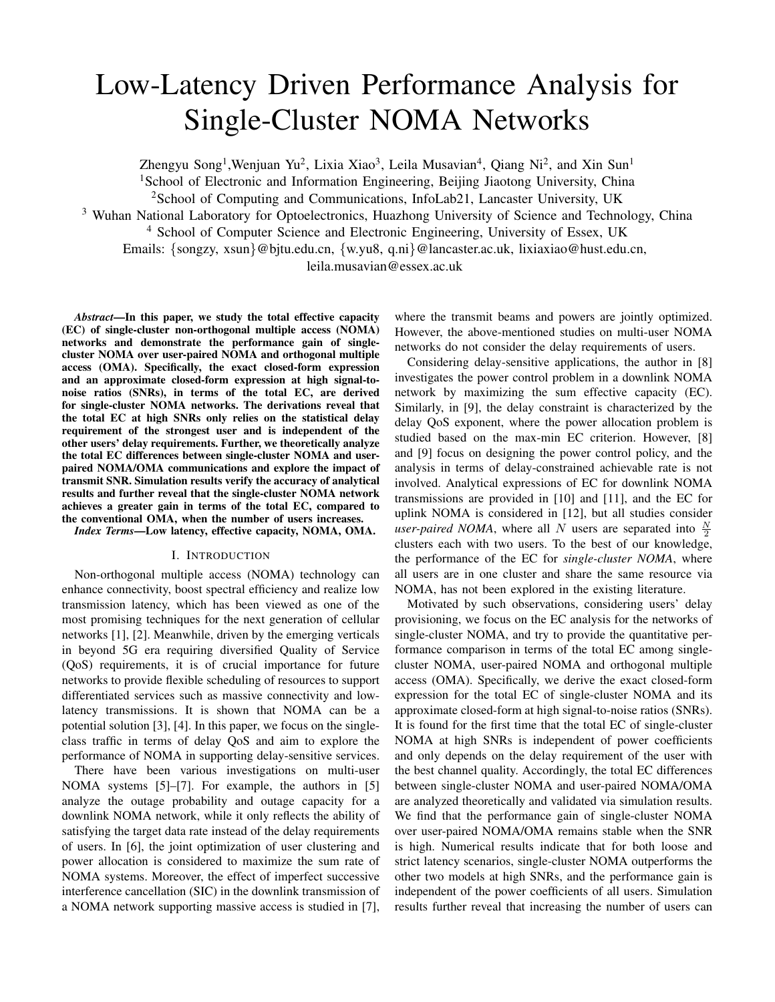# Low-Latency Driven Performance Analysis for Single-Cluster NOMA Networks

Zhengyu Song<sup>1</sup>, Wenjuan Yu<sup>2</sup>, Lixia Xiao<sup>3</sup>, Leila Musavian<sup>4</sup>, Qiang Ni<sup>2</sup>, and Xin Sun<sup>1</sup> <sup>1</sup>School of Electronic and Information Engineering, Beijing Jiaotong University, China <sup>2</sup>School of Computing and Communications, InfoLab21, Lancaster University, UK <sup>3</sup> Wuhan National Laboratory for Optoelectronics, Huazhong University of Science and Technology, China <sup>4</sup> School of Computer Science and Electronic Engineering, University of Essex, UK Emails: {songzy, xsun}@bjtu.edu.cn, {w.yu8, q.ni}@lancaster.ac.uk, lixiaxiao@hust.edu.cn, leila.musavian@essex.ac.uk

*Abstract*—In this paper, we study the total effective capacity (EC) of single-cluster non-orthogonal multiple access (NOMA) networks and demonstrate the performance gain of singlecluster NOMA over user-paired NOMA and orthogonal multiple access (OMA). Specifically, the exact closed-form expression and an approximate closed-form expression at high signal-tonoise ratios (SNRs), in terms of the total EC, are derived for single-cluster NOMA networks. The derivations reveal that the total EC at high SNRs only relies on the statistical delay requirement of the strongest user and is independent of the other users' delay requirements. Further, we theoretically analyze the total EC differences between single-cluster NOMA and userpaired NOMA/OMA communications and explore the impact of transmit SNR. Simulation results verify the accuracy of analytical results and further reveal that the single-cluster NOMA network achieves a greater gain in terms of the total EC, compared to the conventional OMA, when the number of users increases.

*Index Terms*—Low latency, effective capacity, NOMA, OMA.

## I. INTRODUCTION

Non-orthogonal multiple access (NOMA) technology can enhance connectivity, boost spectral efficiency and realize low transmission latency, which has been viewed as one of the most promising techniques for the next generation of cellular networks [1], [2]. Meanwhile, driven by the emerging verticals in beyond 5G era requiring diversified Quality of Service (QoS) requirements, it is of crucial importance for future networks to provide flexible scheduling of resources to support differentiated services such as massive connectivity and lowlatency transmissions. It is shown that NOMA can be a potential solution [3], [4]. In this paper, we focus on the singleclass traffic in terms of delay QoS and aim to explore the performance of NOMA in supporting delay-sensitive services.

There have been various investigations on multi-user NOMA systems [5]–[7]. For example, the authors in [5] analyze the outage probability and outage capacity for a downlink NOMA network, while it only reflects the ability of satisfying the target data rate instead of the delay requirements of users. In [6], the joint optimization of user clustering and power allocation is considered to maximize the sum rate of NOMA systems. Moreover, the effect of imperfect successive interference cancellation (SIC) in the downlink transmission of a NOMA network supporting massive access is studied in [7],

where the transmit beams and powers are jointly optimized. However, the above-mentioned studies on multi-user NOMA networks do not consider the delay requirements of users.

Considering delay-sensitive applications, the author in [8] investigates the power control problem in a downlink NOMA network by maximizing the sum effective capacity (EC). Similarly, in [9], the delay constraint is characterized by the delay QoS exponent, where the power allocation problem is studied based on the max-min EC criterion. However, [8] and [9] focus on designing the power control policy, and the analysis in terms of delay-constrained achievable rate is not involved. Analytical expressions of EC for downlink NOMA transmissions are provided in [10] and [11], and the EC for uplink NOMA is considered in [12], but all studies consider *user-paired NOMA*, where all N users are separated into  $\frac{N}{2}$ clusters each with two users. To the best of our knowledge, the performance of the EC for *single-cluster NOMA*, where all users are in one cluster and share the same resource via NOMA, has not been explored in the existing literature.

Motivated by such observations, considering users' delay provisioning, we focus on the EC analysis for the networks of single-cluster NOMA, and try to provide the quantitative performance comparison in terms of the total EC among singlecluster NOMA, user-paired NOMA and orthogonal multiple access (OMA). Specifically, we derive the exact closed-form expression for the total EC of single-cluster NOMA and its approximate closed-form at high signal-to-noise ratios (SNRs). It is found for the first time that the total EC of single-cluster NOMA at high SNRs is independent of power coefficients and only depends on the delay requirement of the user with the best channel quality. Accordingly, the total EC differences between single-cluster NOMA and user-paired NOMA/OMA are analyzed theoretically and validated via simulation results. We find that the performance gain of single-cluster NOMA over user-paired NOMA/OMA remains stable when the SNR is high. Numerical results indicate that for both loose and strict latency scenarios, single-cluster NOMA outperforms the other two models at high SNRs, and the performance gain is independent of the power coefficients of all users. Simulation results further reveal that increasing the number of users can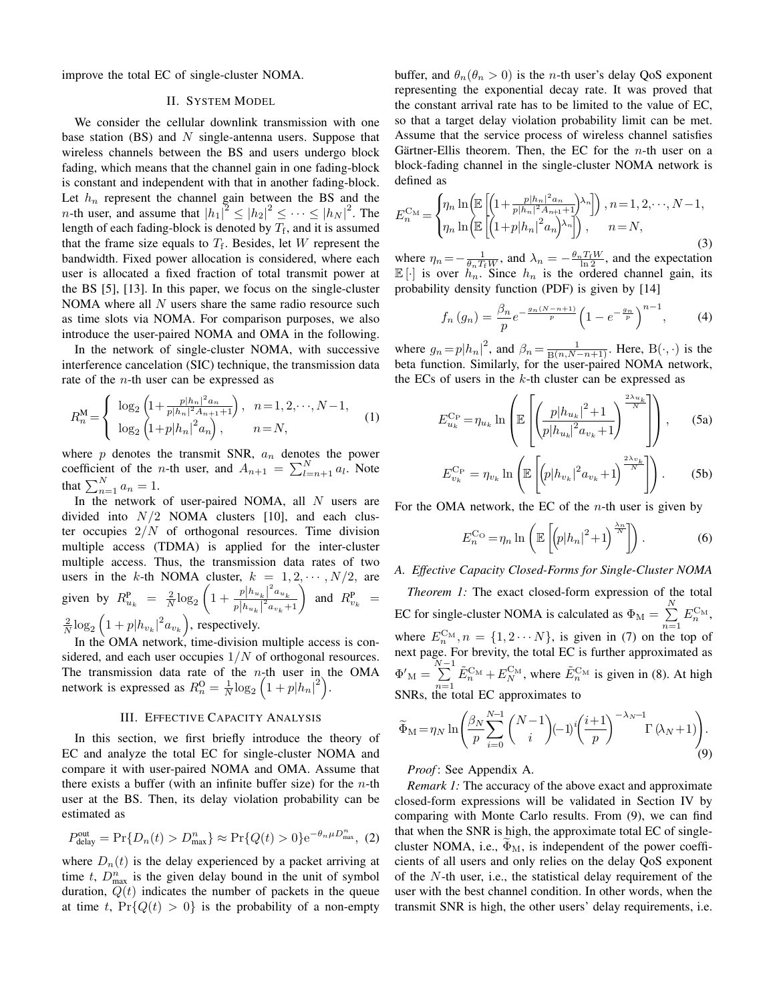improve the total EC of single-cluster NOMA.

#### II. SYSTEM MODEL

We consider the cellular downlink transmission with one base station  $(BS)$  and N single-antenna users. Suppose that wireless channels between the BS and users undergo block fading, which means that the channel gain in one fading-block is constant and independent with that in another fading-block. Let  $h_n$  represent the channel gain between the BS and the *n*-th user, and assume that  $|h_1|^2 \leq |h_2|^2 \leq \cdots \leq |h_N|^2$ . The length of each fading-block is denoted by  $T_f$ , and it is assumed that the frame size equals to  $T_f$ . Besides, let W represent the bandwidth. Fixed power allocation is considered, where each user is allocated a fixed fraction of total transmit power at the BS [5], [13]. In this paper, we focus on the single-cluster NOMA where all  $N$  users share the same radio resource such as time slots via NOMA. For comparison purposes, we also introduce the user-paired NOMA and OMA in the following.

In the network of single-cluster NOMA, with successive interference cancelation (SIC) technique, the transmission data rate of the *n*-th user can be expressed as

$$
R_n^{\mathbf{M}} = \begin{cases} \log_2\left(1 + \frac{p|h_n|^2 a_n}{p|h_n|^2 A_{n+1} + 1}\right), & n = 1, 2, \cdots, N - 1, \\ \log_2\left(1 + p|h_n|^2 a_n\right), & n = N, \end{cases}
$$
 (1)

where  $p$  denotes the transmit SNR,  $a_n$  denotes the power coefficient of the *n*-th user, and  $A_{n+1} = \sum_{l=n+1}^{N} a_l$ . Note that  $\sum_{n=1}^{N} a_n = 1$ .

In the network of user-paired NOMA, all  $N$  users are divided into  $N/2$  NOMA clusters [10], and each cluster occupies  $2/N$  of orthogonal resources. Time division multiple access (TDMA) is applied for the inter-cluster multiple access. Thus, the transmission data rates of two users in the k-th NOMA cluster,  $k = 1, 2, \cdots, N/2$ , are given by  $R_{u_k}^{\text{p}} = \frac{2}{N} \log_2 \left( 1 + \frac{p|h_{u_k}|^2 a_{u_k}}{p|h_{u_k}|^2 a_{u_k} + \cdots} \right)$  $\frac{p|h_{u_k}|^2 a_{u_k}}{p|h_{u_k}|^2 a_{v_k}+1}$  and  $R_{v_k}^{\mathbf{P}}$  =  $\frac{2}{N} \log_2 \left( 1 + p|h_{v_k}|^2 a_{v_k} \right)$ , respectively.

In the OMA network, time-division multiple access is considered, and each user occupies  $1/N$  of orthogonal resources. The transmission data rate of the  $n_{\tau}$ th user in the OMA network is expressed as  $R_n^0 = \frac{1}{N} \log_2 \left( 1 + p|h_n|^2 \right)$ .

## III. EFFECTIVE CAPACITY ANALYSIS

In this section, we first briefly introduce the theory of EC and analyze the total EC for single-cluster NOMA and compare it with user-paired NOMA and OMA. Assume that there exists a buffer (with an infinite buffer size) for the  $n$ -th user at the BS. Then, its delay violation probability can be estimated as

$$
P_{\text{delay}}^{\text{out}} = \Pr\{D_n(t) > D_{\text{max}}^n\} \approx \Pr\{Q(t) > 0\} e^{-\theta_n \mu D_{\text{max}}^n}, \tag{2}
$$

where  $D_n(t)$  is the delay experienced by a packet arriving at time t,  $D_{\text{max}}^n$  is the given delay bound in the unit of symbol duration,  $Q(t)$  indicates the number of packets in the queue at time t,  $Pr\{Q(t) > 0\}$  is the probability of a non-empty buffer, and  $\theta_n(\theta_n > 0)$  is the *n*-th user's delay QoS exponent representing the exponential decay rate. It was proved that the constant arrival rate has to be limited to the value of EC, so that a target delay violation probability limit can be met. Assume that the service process of wireless channel satisfies Gärtner-Ellis theorem. Then, the EC for the  $n$ -th user on a block-fading channel in the single-cluster NOMA network is defined as

$$
E_n^{\mathcal{C}_{\mathcal{M}}} = \begin{cases} \eta_n \ln \left( \mathbb{E} \left[ \left( 1 + \frac{p|h_n|^2 a_n}{p|h_n|^2 A_{n+1} + 1} \right)^{\lambda_n} \right] \right), n = 1, 2, \cdots, N - 1, \\ \eta_n \ln \left( \mathbb{E} \left[ \left( 1 + p|h_n|^2 a_n \right)^{\lambda_n} \right] \right), \quad n = N, \end{cases}
$$
\n(3)

where  $\eta_n = -\frac{1}{\theta_n T_f W}$ , and  $\lambda_n = -\frac{\theta_n T_f W}{\ln 2}$ , and the expectation  $\mathbb{E}[\cdot]$  is over  $h_n$ . Since  $h_n$  is the ordered channel gain, its probability density function (PDF) is given by [14]

$$
f_n(g_n) = \frac{\beta_n}{p} e^{-\frac{g_n(N-n+1)}{p}} \left(1 - e^{-\frac{g_n}{p}}\right)^{n-1},\tag{4}
$$

where  $g_n = p|h_n|^2$ , and  $\beta_n = \frac{1}{B(n,N-n+1)}$ . Here,  $B(\cdot, \cdot)$  is the beta function. Similarly, for the user-paired NOMA network, the ECs of users in the  $k$ -th cluster can be expressed as

$$
E_{u_k}^{\rm C_P} = \eta_{u_k} \ln \left( \mathbb{E} \left[ \left( \frac{p |h_{u_k}|^2 + 1}{p |h_{u_k}|^2 a_{v_k} + 1} \right)^{\frac{2 \lambda_{u_k}}{N}} \right] \right), \qquad (5a)
$$

$$
E_{v_k}^{\mathcal{C}_{\mathcal{P}}} = \eta_{v_k} \ln \left( \mathbb{E} \left[ \left( p|h_{v_k}|^2 a_{v_k} + 1 \right)^{\frac{2\lambda_{v_k}}{N}} \right] \right). \tag{5b}
$$

For the OMA network, the EC of the  $n$ -th user is given by

$$
E_n^{\text{Co}} = \eta_n \ln \left( \mathbb{E} \left[ \left( p|h_n|^2 + 1 \right)^{\frac{\lambda_n}{N}} \right] \right). \tag{6}
$$

# *A. Effective Capacity Closed-Forms for Single-Cluster NOMA*

*Theorem 1:* The exact closed-form expression of the total EC for single-cluster NOMA is calculated as  $\Phi_{\text{M}} = \sum_{n=1}^{N}$  $\sum_{n=1} E_n^{\text{C}_\text{M}},$ where  $E_n^{\text{C}_M}$ ,  $n = \{1, 2 \cdots N\}$ , is given in (7) on the top of next page. For brevity, the total EC is further approximated as  ${\Phi'}_{\rm M}=\sum^{N-1}$  $\sum_{n=1}^{N} \tilde{E}_{n}^{CM} + E_{N}^{CM}$ , where  $\tilde{E}_{n}^{CM}$  is given in (8). At high SNRs, the total EC approximates to

$$
\widetilde{\Phi}_{\mathbf{M}} = \eta_N \ln \left( \frac{\beta_N}{p} \sum_{i=0}^{N-1} {N-1 \choose i} (-1)^i \left( \frac{i+1}{p} \right)^{-\lambda_N - 1} \Gamma(\lambda_N + 1) \right). \tag{9}
$$

*Proof* : See Appendix A.

*Remark 1:* The accuracy of the above exact and approximate closed-form expressions will be validated in Section IV by comparing with Monte Carlo results. From (9), we can find that when the SNR is high, the approximate total EC of singlecluster NOMA, i.e.,  $\Phi_M$ , is independent of the power coefficients of all users and only relies on the delay QoS exponent of the  $N$ -th user, i.e., the statistical delay requirement of the user with the best channel condition. In other words, when the transmit SNR is high, the other users' delay requirements, i.e.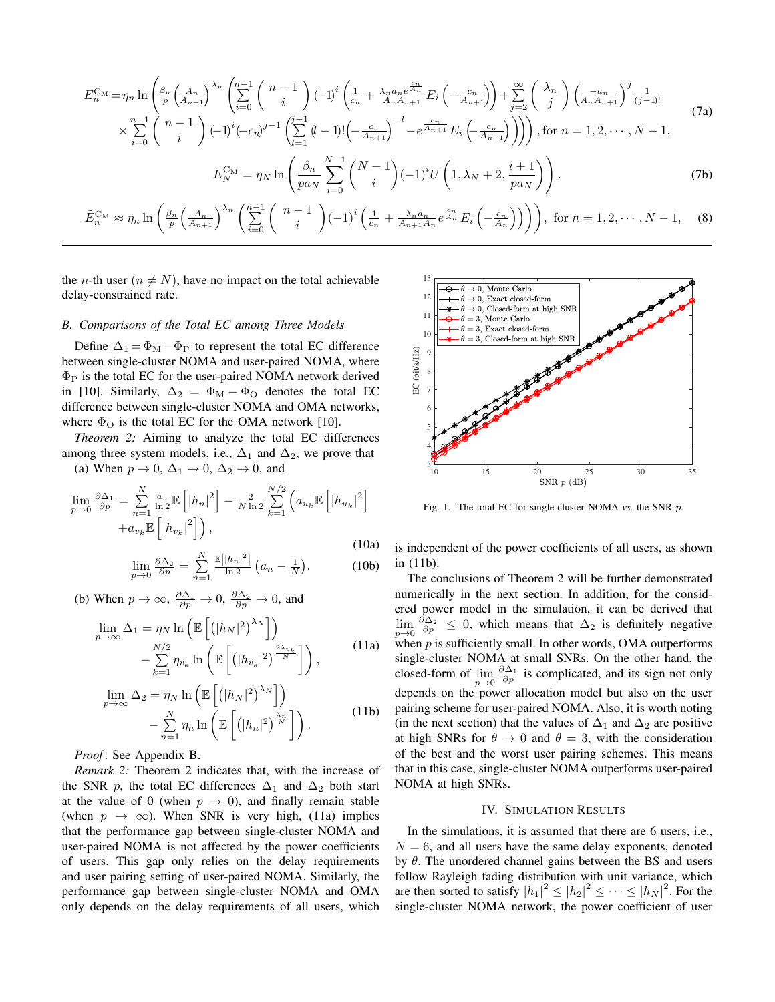$$
E_{n}^{\text{CM}} = \eta_{n} \ln \left( \frac{\beta_{n}}{p} \left( \frac{A_{n}}{A_{n+1}} \right)^{\lambda_{n}} \left( \sum_{i=0}^{n-1} {n-1 \choose i} (-1)^{i} \left( \frac{1}{c_{n}} + \frac{\lambda_{n} a_{n} e^{\frac{c_{n}}{A_{n}}}}{A_{n} A_{n+1}} E_{i} \left( -\frac{c_{n}}{A_{n+1}} \right) \right) + \sum_{j=2}^{\infty} { \lambda_{n} \choose j} \left( \frac{a_{n}}{A_{n} A_{n+1}} \right)^{j} \frac{1}{(j-1)!}
$$
\n
$$
\times \sum_{i=0}^{n-1} {n-1 \choose i} (-1)^{i} (-c_{n})^{j-1} \left( \sum_{i=1}^{j-1} {l-1 \choose i} (-1)! \left( -\frac{c_{n}}{A_{n+1}} \right)^{-l} - e^{\frac{c_{n}}{A_{n+1}}} E_{i} \left( -\frac{c_{n}}{A_{n+1}} \right) \right) \right), \text{for } n = 1, 2, \cdots, N-1,
$$
\n
$$
E_{N}^{\text{CM}} = \eta_{N} \ln \left( \frac{\beta_{n}}{p a_{N}} \sum_{i=0}^{N-1} {N-1 \choose i} (-1)^{i} U \left( 1, \lambda_{N} + 2, \frac{i+1}{p a_{N}} \right) \right).
$$
\n
$$
\tilde{E}_{n}^{\text{CM}} \approx \eta_{n} \ln \left( \frac{\beta_{n}}{p} \left( \frac{A_{n}}{A_{n+1}} \right)^{\lambda_{n}} \left( \sum_{i=0}^{n-1} {n-1 \choose i} (-1)^{i} \left( \frac{1}{c_{n}} + \frac{\lambda_{n} a_{n}}{A_{n+1} A_{n}} e^{\frac{c_{n}}{A_{n}}} E_{i} \left( -\frac{c_{n}}{A_{n}} \right) \right) \right), \text{ for } n = 1, 2, \cdots, N-1,
$$
\n(8)

the *n*-th user  $(n \neq N)$ , have no impact on the total achievable delay-constrained rate.

### *B. Comparisons of the Total EC among Three Models*

Define  $\Delta_1 = \Phi_M - \Phi_P$  to represent the total EC difference between single-cluster NOMA and user-paired NOMA, where  $\Phi_{\rm P}$  is the total EC for the user-paired NOMA network derived in [10]. Similarly,  $\Delta_2 = \Phi_M - \Phi_O$  denotes the total EC difference between single-cluster NOMA and OMA networks, where  $\Phi_{\text{O}}$  is the total EC for the OMA network [10].

*Theorem 2:* Aiming to analyze the total EC differences among three system models, i.e.,  $\Delta_1$  and  $\Delta_2$ , we prove that (a) When  $p \to 0$ ,  $\Delta_1 \to 0$ ,  $\Delta_2 \to 0$ , and

$$
\lim_{p \to 0} \frac{\partial \Delta_1}{\partial p} = \sum_{n=1}^{N} \frac{a_n}{\ln 2} \mathbb{E} \left[ |h_n|^2 \right] - \frac{2}{N \ln 2} \sum_{k=1}^{N/2} \left( a_{u_k} \mathbb{E} \left[ |h_{u_k}|^2 \right] + a_{v_k} \mathbb{E} \left[ |h_{v_k}|^2 \right] \right),\tag{10a}
$$

$$
\lim_{p \to 0} \frac{\partial \Delta_2}{\partial p} = \sum_{n=1}^{N} \frac{\mathbb{E}[|h_n|^2]}{\ln 2} \left(a_n - \frac{1}{N}\right).
$$
 (10b)

(b) When  $p \to \infty$ ,  $\frac{\partial \Delta_1}{\partial p} \to 0$ ,  $\frac{\partial \Delta_2}{\partial p} \to 0$ , and

$$
\lim_{p \to \infty} \Delta_1 = \eta_N \ln \left( \mathbb{E} \left[ \left( |h_N|^2 \right)^{\lambda_N} \right] \right) \n- \sum_{k=1}^{N/2} \eta_{v_k} \ln \left( \mathbb{E} \left[ \left( |h_{v_k}|^2 \right)^{\frac{2\lambda_{v_k}}{N}} \right] \right),
$$
\n(11a)

$$
\lim_{p \to \infty} \Delta_2 = \eta_N \ln \left( \mathbb{E} \left[ (|h_N|^2)^{\lambda_N} \right] \right) - \sum_{n=1}^N \eta_n \ln \left( \mathbb{E} \left[ (|h_n|^2)^{\frac{\lambda_n}{N}} \right] \right).
$$
 (11b)

*Proof* : See Appendix B.

*Remark 2:* Theorem 2 indicates that, with the increase of the SNR p, the total EC differences  $\Delta_1$  and  $\Delta_2$  both start at the value of 0 (when  $p \rightarrow 0$ ), and finally remain stable (when  $p \rightarrow \infty$ ). When SNR is very high, (11a) implies that the performance gap between single-cluster NOMA and user-paired NOMA is not affected by the power coefficients of users. This gap only relies on the delay requirements and user pairing setting of user-paired NOMA. Similarly, the performance gap between single-cluster NOMA and OMA only depends on the delay requirements of all users, which



Fig. 1. The total EC for single-cluster NOMA *vs.* the SNR p.

is independent of the power coefficients of all users, as shown in (11b).

The conclusions of Theorem 2 will be further demonstrated numerically in the next section. In addition, for the considered power model in the simulation, it can be derived that  $\lim_{p\to 0} \frac{\partial \Delta_2}{\partial p} \leq 0$ , which means that  $\Delta_2$  is definitely negative when  $p$  is sufficiently small. In other words, OMA outperforms single-cluster NOMA at small SNRs. On the other hand, the closed-form of  $\lim_{p\to 0} \frac{\partial \Delta_1}{\partial p}$  is complicated, and its sign not only depends on the power allocation model but also on the user pairing scheme for user-paired NOMA. Also, it is worth noting (in the next section) that the values of  $\Delta_1$  and  $\Delta_2$  are positive at high SNRs for  $\theta \rightarrow 0$  and  $\theta = 3$ , with the consideration of the best and the worst user pairing schemes. This means that in this case, single-cluster NOMA outperforms user-paired NOMA at high SNRs.

## IV. SIMULATION RESULTS

In the simulations, it is assumed that there are 6 users, i.e.,  $N = 6$ , and all users have the same delay exponents, denoted by  $\theta$ . The unordered channel gains between the BS and users follow Rayleigh fading distribution with unit variance, which are then sorted to satisfy  $|h_1|^2 \leq |h_2|^2 \leq \cdots \leq |h_N|^2$ . For the single-cluster NOMA network, the power coefficient of user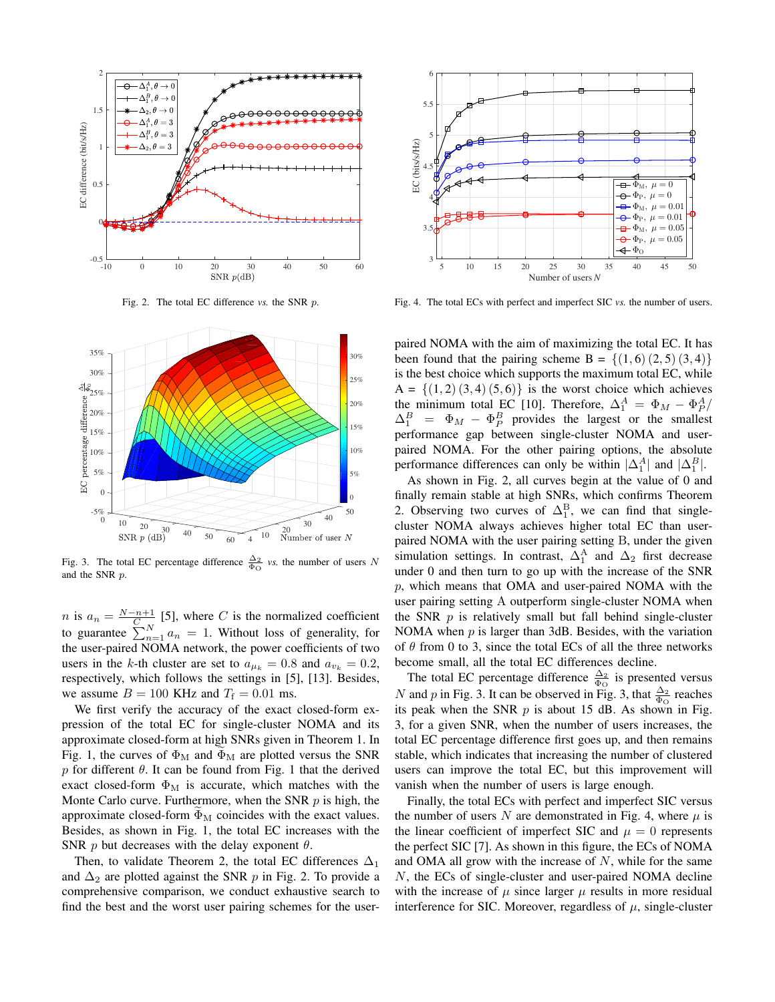

Fig. 2. The total EC difference *vs.* the SNR p.



Fig. 3. The total EC percentage difference  $\frac{\Delta_2}{\Phi_{\text{O}}}$  vs. the number of users N and the SNR p.

*n* is  $a_n = \frac{N-n+1}{C}$  [5], where *C* is the normalized coefficient to guarantee  $\sum_{n=1}^{N} a_n = 1$ . Without loss of generality, for the user-paired NOMA network, the power coefficients of two users in the k-th cluster are set to  $a_{\mu_k} = 0.8$  and  $a_{\nu_k} = 0.2$ , respectively, which follows the settings in [5], [13]. Besides, we assume  $B = 100$  KHz and  $T_f = 0.01$  ms.

We first verify the accuracy of the exact closed-form expression of the total EC for single-cluster NOMA and its approximate closed-form at high SNRs given in Theorem 1. In Fig. 1, the curves of  $\Phi_M$  and  $\Phi_M$  are plotted versus the SNR p for different  $\theta$ . It can be found from Fig. 1 that the derived exact closed-form  $\Phi_M$  is accurate, which matches with the Monte Carlo curve. Furthermore, when the SNR  $p$  is high, the approximate closed-form  $\Phi_M$  coincides with the exact values. Besides, as shown in Fig. 1, the total EC increases with the SNR p but decreases with the delay exponent  $\theta$ .

Then, to validate Theorem 2, the total EC differences  $\Delta_1$ and  $\Delta_2$  are plotted against the SNR p in Fig. 2. To provide a comprehensive comparison, we conduct exhaustive search to find the best and the worst user pairing schemes for the user-



Fig. 4. The total ECs with perfect and imperfect SIC *vs.* the number of users.

paired NOMA with the aim of maximizing the total EC. It has been found that the pairing scheme B =  $\{(1,6)(2,5)(3,4)\}\$ is the best choice which supports the maximum total EC, while  $A = \{(1, 2), (3, 4), (5, 6)\}$  is the worst choice which achieves the minimum total EC [10]. Therefore,  $\Delta_1^A = \Phi_M - \Phi_P^A$ /  $\Delta_1^B = \Phi_M - \Phi_P^B$  provides the largest or the smallest performance gap between single-cluster NOMA and userpaired NOMA. For the other pairing options, the absolute performance differences can only be within  $|\Delta_1^A|$  and  $|\Delta_1^B|$ .

As shown in Fig. 2, all curves begin at the value of 0 and finally remain stable at high SNRs, which confirms Theorem 2. Observing two curves of  $\Delta_1^B$ , we can find that singlecluster NOMA always achieves higher total EC than userpaired NOMA with the user pairing setting B, under the given simulation settings. In contrast,  $\Delta_1^{\text{A}}$  and  $\Delta_2$  first decrease under 0 and then turn to go up with the increase of the SNR p, which means that OMA and user-paired NOMA with the user pairing setting A outperform single-cluster NOMA when the SNR  $p$  is relatively small but fall behind single-cluster NOMA when  $p$  is larger than 3dB. Besides, with the variation of  $\theta$  from 0 to 3, since the total ECs of all the three networks become small, all the total EC differences decline.

The total EC percentage difference  $\frac{\Delta_2}{\Phi_{\text{O}}}$  is presented versus N and p in Fig. 3. It can be observed in Fig. 3, that  $\frac{\Delta_2}{\Phi_0}$  reaches its peak when the SNR  $p$  is about 15 dB. As shown in Fig. 3, for a given SNR, when the number of users increases, the total EC percentage difference first goes up, and then remains stable, which indicates that increasing the number of clustered users can improve the total EC, but this improvement will vanish when the number of users is large enough.

Finally, the total ECs with perfect and imperfect SIC versus the number of users N are demonstrated in Fig. 4, where  $\mu$  is the linear coefficient of imperfect SIC and  $\mu = 0$  represents the perfect SIC [7]. As shown in this figure, the ECs of NOMA and OMA all grow with the increase of  $N$ , while for the same N, the ECs of single-cluster and user-paired NOMA decline with the increase of  $\mu$  since larger  $\mu$  results in more residual interference for SIC. Moreover, regardless of  $\mu$ , single-cluster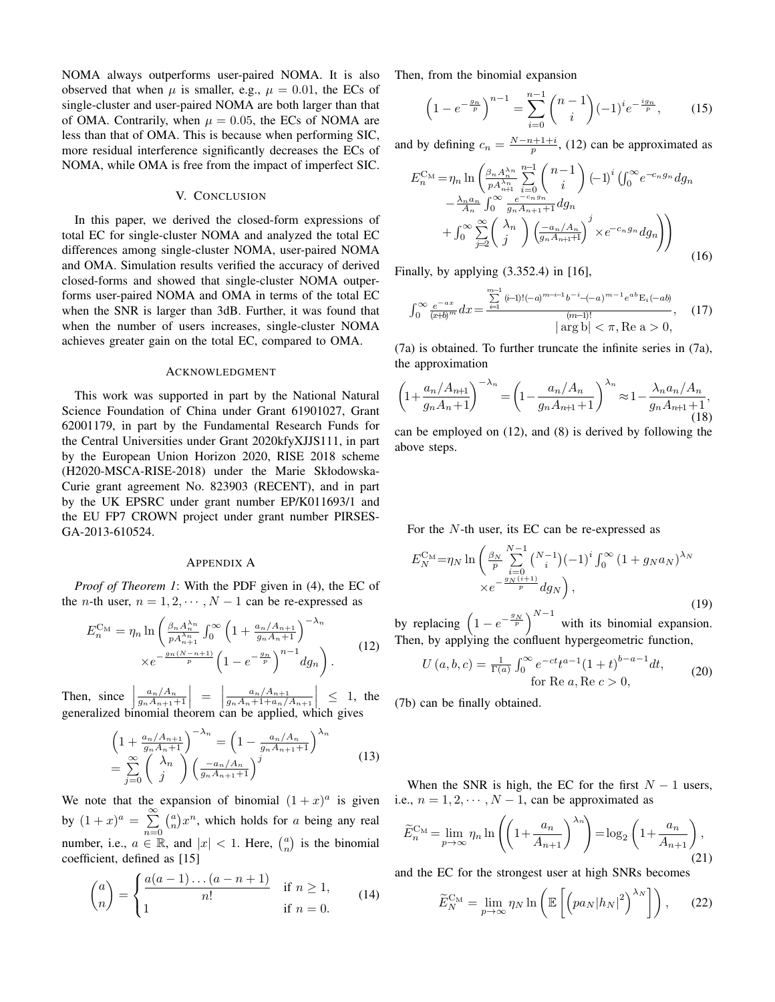NOMA always outperforms user-paired NOMA. It is also observed that when  $\mu$  is smaller, e.g.,  $\mu = 0.01$ , the ECs of single-cluster and user-paired NOMA are both larger than that of OMA. Contrarily, when  $\mu = 0.05$ , the ECs of NOMA are less than that of OMA. This is because when performing SIC, more residual interference significantly decreases the ECs of NOMA, while OMA is free from the impact of imperfect SIC.

## V. CONCLUSION

In this paper, we derived the closed-form expressions of total EC for single-cluster NOMA and analyzed the total EC differences among single-cluster NOMA, user-paired NOMA and OMA. Simulation results verified the accuracy of derived closed-forms and showed that single-cluster NOMA outperforms user-paired NOMA and OMA in terms of the total EC when the SNR is larger than 3dB. Further, it was found that when the number of users increases, single-cluster NOMA achieves greater gain on the total EC, compared to OMA.

#### ACKNOWLEDGMENT

This work was supported in part by the National Natural Science Foundation of China under Grant 61901027, Grant 62001179, in part by the Fundamental Research Funds for the Central Universities under Grant 2020kfyXJJS111, in part by the European Union Horizon 2020, RISE 2018 scheme (H2020-MSCA-RISE-2018) under the Marie Skłodowska-Curie grant agreement No. 823903 (RECENT), and in part by the UK EPSRC under grant number EP/K011693/1 and the EU FP7 CROWN project under grant number PIRSES-GA-2013-610524.

## APPENDIX A

*Proof of Theorem 1*: With the PDF given in (4), the EC of the *n*-th user,  $n = 1, 2, \cdots, N - 1$  can be re-expressed as

$$
E_n^{\text{CM}} = \eta_n \ln \left( \frac{\beta_n A_n^{\lambda_n}}{p A_{n+1}^{\lambda_n}} \int_0^\infty \left( 1 + \frac{a_n / A_{n+1}}{g_n A_n + 1} \right)^{-\lambda_n} \times e^{-\frac{g_n (N - n + 1)}{p}} \left( 1 - e^{-\frac{g_n}{p}} \right)^{n-1} dg_n \right). \tag{12}
$$

Then, since  $\Big|$  $a_n/A_n$  $\frac{a_n/A_n}{g_nA_{n+1}+1}\Big|_n = \Big|$  $a_n/A_{n+1}$ Then, since  $\left|\frac{a_n/A_n}{g_nA_{n+1}+1}\right| = \left|\frac{a_n/A_{n+1}}{g_nA_n+1+a_n/A_{n+1}}\right| \leq 1$ , the generalized binomial theorem can be applied, which gives

$$
\left(1 + \frac{a_n/A_{n+1}}{g_n A_n + 1}\right)^{-\lambda_n} = \left(1 - \frac{a_n/A_n}{g_n A_{n+1} + 1}\right)^{\lambda_n} \n= \sum_{j=0}^{\infty} \binom{\lambda_n}{j} \left(\frac{-a_n/A_n}{g_n A_{n+1} + 1}\right)^j
$$
\n(13)

We note that the expansion of binomial  $(1+x)^a$  is given by  $(1+x)^a = \sum^{\infty}$  $n=0$  $\binom{a}{n}x^n$ , which holds for a being any real number, i.e.,  $a \in \mathbb{R}$ , and  $|x| < 1$ . Here,  $\binom{a}{n}$  is the binomial coefficient, defined as [15]

$$
\binom{a}{n} = \begin{cases} \frac{a(a-1)\dots(a-n+1)}{n!} & \text{if } n \ge 1, \\ 1 & \text{if } n = 0. \end{cases}
$$
 (14)

Then, from the binomial expansion

$$
\left(1 - e^{-\frac{g_n}{p}}\right)^{n-1} = \sum_{i=0}^{n-1} {n-1 \choose i} (-1)^i e^{-\frac{ig_n}{p}},\qquad(15)
$$

and by defining  $c_n = \frac{N-n+1+i}{p}$ , (12) can be approximated as

$$
E_n^{\text{C}_M} = \eta_n \ln \left( \frac{\beta_n A_n^{\lambda_n}}{p A_{n+1}^{\lambda_n}} \sum_{i=0}^{n-1} {n-1 \choose i} (-1)^i \left( \int_0^{\infty} e^{-c_n g_n} dg_n - \frac{\lambda_n a_n}{A_n} \int_0^{\infty} \frac{e^{-c_n g_n}}{g_n A_{n+1} + 1} dg_n + \int_0^{\infty} \sum_{j=2}^{\infty} { \lambda_n \choose j} \left( \frac{-a_n/A_n}{g_n A_{n+1} + 1} \right)^j \times e^{-c_n g_n} dg_n \right) \right)
$$
\n
$$
(16)
$$

Finally, by applying (3.352.4) in [16],

$$
\int_0^\infty \frac{e^{-ax}}{(x+b)^m} dx = \frac{\sum_{i=1}^{m-1} (i-1)! (-a)^{m-i-1} b^{-i} (-a)^{m-1} e^{ab} E_i(-ab)}{(m-1)!}, \quad (17)
$$

$$
|\arg b| < \pi, \text{Re } a > 0,
$$

(7a) is obtained. To further truncate the infinite series in (7a), the approximation

$$
\left(1 + \frac{a_n/A_{n+1}}{g_n A_n + 1}\right)^{-\lambda_n} = \left(1 - \frac{a_n/A_n}{g_n A_{n+1} + 1}\right)^{\lambda_n} \approx 1 - \frac{\lambda_n a_n/A_n}{g_n A_{n+1} + 1},\tag{18}
$$

can be employed on (12), and (8) is derived by following the above steps.

For the N-th user, its EC can be re-expressed as

$$
E_N^{\text{C}_M} = \eta_N \ln \left( \frac{\beta_N}{p} \sum_{i=0}^{N-1} {N-i \choose i} (-1)^i \int_0^\infty (1 + g_N a_N)^{\lambda_N} \times e^{-\frac{g_N(i+1)}{p}} dg_N \right),
$$
\n(19)

by replacing  $\left(1 - e^{-\frac{g_N}{p}}\right)^{N-1}$  with its binomial expansion. Then, by applying the confluent hypergeometric function,

$$
U(a, b, c) = \frac{1}{\Gamma(a)} \int_0^\infty e^{-ct} t^{a-1} (1+t)^{b-a-1} dt,
$$
  
for Re  $a, \text{Re } c > 0,$  (20)

(7b) can be finally obtained.

When the SNR is high, the EC for the first  $N - 1$  users, i.e.,  $n = 1, 2, \dots, N - 1$ , can be approximated as

$$
\widetilde{E}_n^{\mathcal{C}_{\mathcal{M}}} = \lim_{p \to \infty} \eta_n \ln \left( \left( 1 + \frac{a_n}{A_{n+1}} \right)^{\lambda_n} \right) = \log_2 \left( 1 + \frac{a_n}{A_{n+1}} \right),\tag{21}
$$

and the EC for the strongest user at high SNRs becomes

$$
\widetilde{E}_N^{\rm CM} = \lim_{p \to \infty} \eta_N \ln \left( \mathbb{E} \left[ \left( p a_N |h_N|^2 \right)^{\lambda_N} \right] \right), \qquad (22)
$$